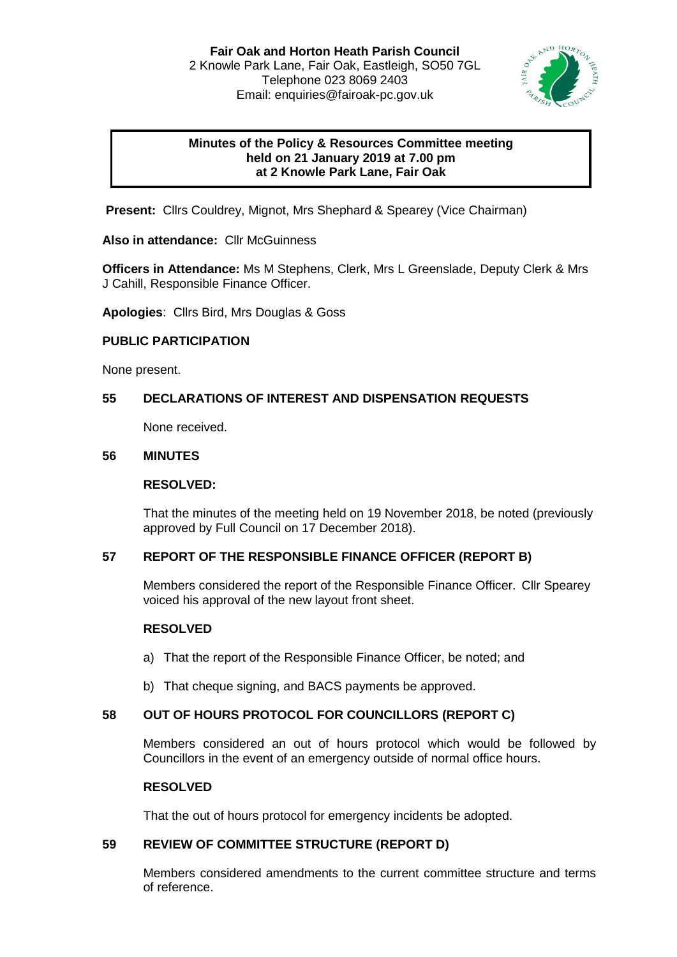

# **Minutes of the Policy & Resources Committee meeting held on 21 January 2019 at 7.00 pm at 2 Knowle Park Lane, Fair Oak**

**Present:** Cllrs Couldrey, Mignot, Mrs Shephard & Spearey (Vice Chairman)

**Also in attendance:** Cllr McGuinness

**Officers in Attendance:** Ms M Stephens, Clerk, Mrs L Greenslade, Deputy Clerk & Mrs J Cahill, Responsible Finance Officer.

**Apologies**: Cllrs Bird, Mrs Douglas & Goss

# **PUBLIC PARTICIPATION**

None present.

# **55 DECLARATIONS OF INTEREST AND DISPENSATION REQUESTS**

None received.

### **56 MINUTES**

### **RESOLVED:**

That the minutes of the meeting held on 19 November 2018, be noted (previously approved by Full Council on 17 December 2018).

# **57 REPORT OF THE RESPONSIBLE FINANCE OFFICER (REPORT B)**

Members considered the report of the Responsible Finance Officer. Cllr Spearey voiced his approval of the new layout front sheet.

#### **RESOLVED**

- a) That the report of the Responsible Finance Officer, be noted; and
- b) That cheque signing, and BACS payments be approved.

# **58 OUT OF HOURS PROTOCOL FOR COUNCILLORS (REPORT C)**

Members considered an out of hours protocol which would be followed by Councillors in the event of an emergency outside of normal office hours.

#### **RESOLVED**

That the out of hours protocol for emergency incidents be adopted.

# **59 REVIEW OF COMMITTEE STRUCTURE (REPORT D)**

Members considered amendments to the current committee structure and terms of reference.